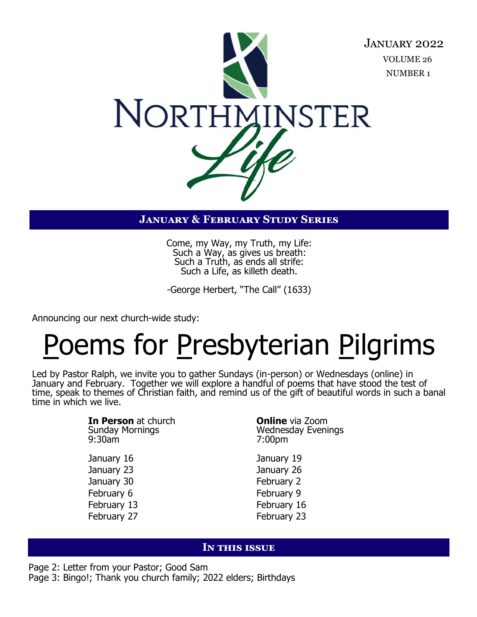

# **January & February Study Series**

Come, my Way, my Truth, my Life: Such a Way, as gives us breath: Such a Truth, as ends all strife: Such a Life, as killeth death.

-George Herbert, "The Call" (1633)

Announcing our next church-wide study:

# Poems for Presbyterian Pilgrims

Led by Pastor Ralph, we invite you to gather Sundays (in-person) or Wednesdays (online) in January and February. Together we will explore a handful of poems that have stood the test of time, speak to themes of Christian faith, and remind us of the gift of beautiful words in such a banal time in which we live.

> **In Person** at church **Online** via Zoom Sunday Mornings and the Mednesday Evenings<br>
> 9:30am 9:30am 7:00pm January 16 January 19 January 23 January 26 January 30 February 2 February 6 February 9 February 13 **February 16** February 27 February 23

#### **In this issue**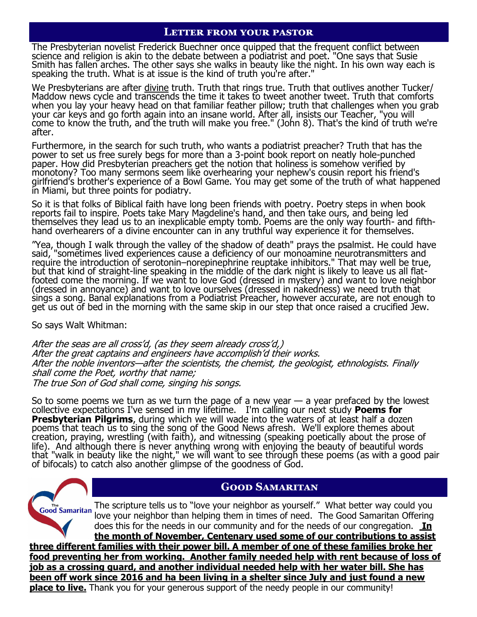#### **Letter from your pastor**

The Presbyterian novelist Frederick Buechner once quipped that the frequent conflict between science and religion is akin to the debate between a podiatrist and poet. "One says that Susie Smith has fallen arches. The other says she walks in beauty like the night. In his own way each is speaking the truth. What is at issue is the kind of truth you're after.'

We Presbyterians are after divine truth. Truth that rings true. Truth that outlives another Tucker/ Maddow news cycle and transcends the time it takes to tweet another tweet. Truth that comforts when you lay your heavy head on that familiar feather pillow; truth that challenges when you grab your car keys and go forth again into an insane world. After all, insists our Teacher, "you will come to know the truth, and the truth will make you free." (John 8). That's the kind of truth we're after.

Furthermore, in the search for such truth, who wants a podiatrist preacher? Truth that has the power to set us free surely begs for more than a 3-point book report on neatly hole-punched paper. How did Presbyterian preachers get the notion that holiness is somehow verified by monotony? Too many sermons seem like overhearing your nephew's cousin report his friend's girlfriend's brother's experience of a Bowl Game. You may get some of the truth of what happened in Miami, but three points for podiatry.

So it is that folks of Biblical faith have long been friends with poetry. Poetry steps in when book reports fail to inspire. Poets take Mary Magdeline's hand, and then take ours, and being led themselves they lead us to an inexplicable empty tomb. Poems are the only way fourth- and fifthhand overhearers of a divine encounter can in any truthful way experience it for themselves.

"Yea, though I walk through the valley of the shadow of death" prays the psalmist. He could have said, "sometimes lived experiences cause a deficiency of our monoamine neurotransmitters and require the introduction of serotonin–norepinephrine reuptake inhibitors." That may well be true, but that kind of straight-line speaking in the middle of the dark night is likely to leave us all flatfooted come the morning. If we want to love God (dressed in mystery) and want to love neighbor (dressed in annoyance) and want to love ourselves (dressed in nakedness) we need truth that sings a song. Banal explanations from a Podiatrist Preacher, however accurate, are not enough to get us out of bed in the morning with the same skip in our step that once raised a crucified Jew.

So says Walt Whitman:

After the seas are all cross'd, (as they seem already cross'd,) After the great captains and engineers have accomplish'd their works. After the noble inventors—after the scientists, the chemist, the geologist, ethnologists. Finally shall come the Poet, worthy that name; The true Son of God shall come, singing his songs.

So to some poems we turn as we turn the page of a new year  $-$  a year prefaced by the lowest collective expectations I've sensed in my lifetime. I'm calling our next study **Poems for Presbyterian Pilgrims**, during which we will wade into the waters of at least half a dozen poems that teach us to sing the song of the Good News afresh. We'll explore themes about creation, praying, wrestling (with faith), and witnessing (speaking poetically about the prose of life). And although there is never anything wrong with enjoying the beauty of beautiful words that "walk in beauty like the night," we will want to see through these poems (as with a good pair of bifocals) to catch also another glimpse of the goodness of God.

# **Good Samaritan**

#### **Good Samaritan**

The scripture tells us to "love your neighbor as yourself." What better way could you love your neighbor than helping them in times of need. The Good Samaritan Offering does this for the needs in our community and for the needs of our congregation. **In the month of November, Centenary used some of our contributions to assist three different families with their power bill. A member of one of these families broke her food preventing her from working. Another family needed help with rent because of loss of job as a crossing guard, and another individual needed help with her water bill. She has been off work since 2016 and ha been living in a shelter since July and just found a new place to live.** Thank you for your generous support of the needy people in our community!